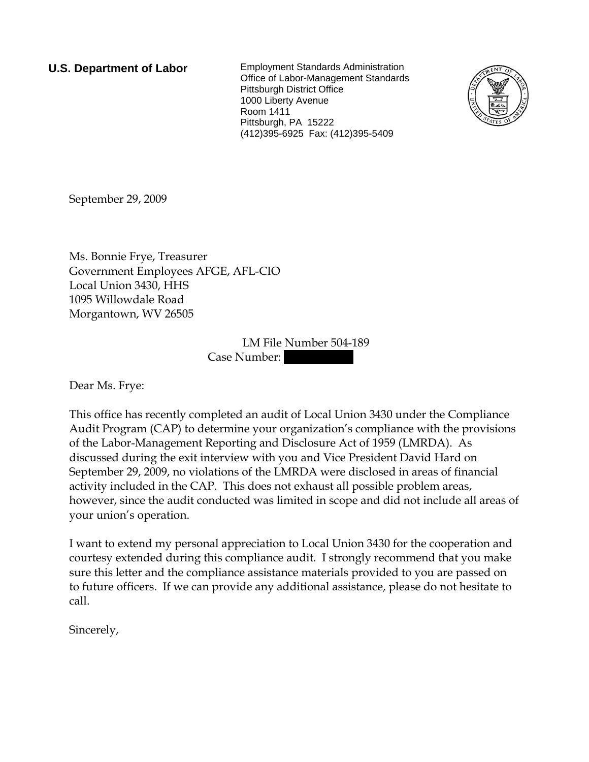**U.S. Department of Labor** Employment Standards Administration Office of Labor-Management Standards Pittsburgh District Office 1000 Liberty Avenue Room 1411 Pittsburgh, PA 15222 (412)395-6925 Fax: (412)395-5409



September 29, 2009

Ms. Bonnie Frye, Treasurer Government Employees AFGE, AFL-CIO Local Union 3430, HHS 1095 Willowdale Road Morgantown, WV 26505

> LM File Number 504-189 Case Number:

Dear Ms. Frye:

This office has recently completed an audit of Local Union 3430 under the Compliance Audit Program (CAP) to determine your organization's compliance with the provisions of the Labor-Management Reporting and Disclosure Act of 1959 (LMRDA). As discussed during the exit interview with you and Vice President David Hard on September 29, 2009, no violations of the LMRDA were disclosed in areas of financial activity included in the CAP. This does not exhaust all possible problem areas, however, since the audit conducted was limited in scope and did not include all areas of your union's operation.

I want to extend my personal appreciation to Local Union 3430 for the cooperation and courtesy extended during this compliance audit. I strongly recommend that you make sure this letter and the compliance assistance materials provided to you are passed on to future officers. If we can provide any additional assistance, please do not hesitate to call.

Sincerely,